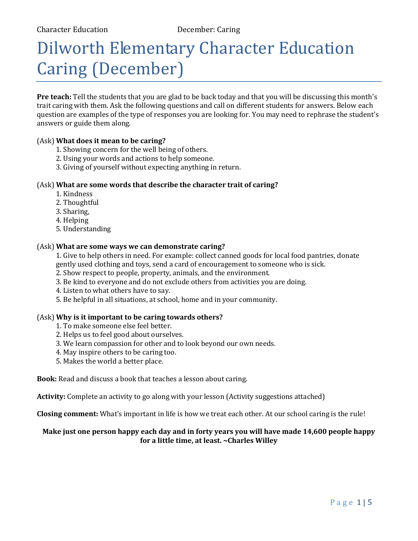# Dilworth Elementary Character Education Caring (December)

**Pre teach:** Tell the students that you are glad to be back today and that you will be discussing this month's trait caring with them. Ask the following questions and call on different students for answers. Below each question are examples of the type of responses you are looking for. You may need to rephrase the student's answers or guide them along.

#### (Ask) **What does it mean to be caring?**

- 1. Showing concern for the well being of others.
- 2. Using your words and actions to help someone.
- 3. Giving of yourself without expecting anything in return.

#### (Ask) **What are some words that describe the character trait of caring?**

- 1. Kindness
- 2. Thoughtful
- 3. Sharing,
- 4. Helping
- 5. Understanding

#### (Ask) **What are some ways we can demonstrate caring?**

1. Give to help others in need. For example: collect canned goods for local food pantries, donate gently used clothing and toys, send a card of encouragement to someone who is sick.

- 2. Show respect to people, property, animals, and the environment.
- 3. Be kind to everyone and do not exclude others from activities you are doing.
- 4. Listen to what others have to say.
- 5. Be helpful in all situations, at school, home and in your community.

#### (Ask) **Why is it important to be caring towards others?**

- 1. To make someone else feel better.
- 2. Helps us to feel good about ourselves.
- 3. We learn compassion for other and to look beyond our own needs.
- 4. May inspire others to be caring too.
- 5. Makes the world a better place.

**Book:** Read and discuss a book that teaches a lesson about caring.

**Activity:** Complete an activity to go along with your lesson (Activity suggestions attached)

**Closing comment:** What's important in life is how we treat each other. At our school caring is the rule!

#### **Make just one person happy each day and in forty years you will have made 14,600 people happy for a little time, at least. ~Charles Willey**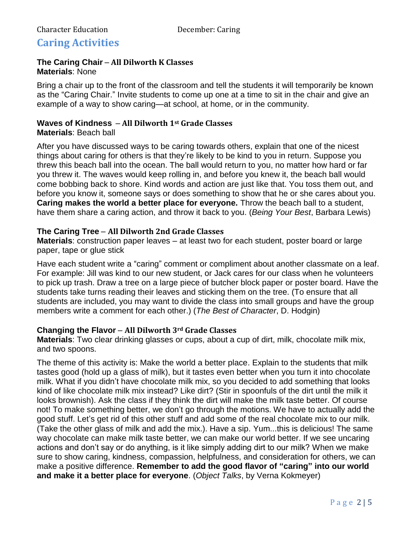# **Caring Activities**

#### **The Caring Chair** – **All Dilworth K Classes Materials**: None

Bring a chair up to the front of the classroom and tell the students it will temporarily be known as the "Caring Chair." Invite students to come up one at a time to sit in the chair and give an example of a way to show caring—at school, at home, or in the community.

## **Waves of Kindness** – **All Dilworth 1st Grade Classes**

#### **Materials**: Beach ball

After you have discussed ways to be caring towards others, explain that one of the nicest things about caring for others is that they're likely to be kind to you in return. Suppose you threw this beach ball into the ocean. The ball would return to you, no matter how hard or far you threw it. The waves would keep rolling in, and before you knew it, the beach ball would come bobbing back to shore. Kind words and action are just like that. You toss them out, and before you know it, someone says or does something to show that he or she cares about you. **Caring makes the world a better place for everyone.** Throw the beach ball to a student, have them share a caring action, and throw it back to you. (*Being Your Best*, Barbara Lewis)

#### **The Caring Tree** – **All Dilworth 2nd Grade Classes**

**Materials**: construction paper leaves – at least two for each student, poster board or large paper, tape or glue stick

Have each student write a "caring" comment or compliment about another classmate on a leaf. For example: Jill was kind to our new student, or Jack cares for our class when he volunteers to pick up trash. Draw a tree on a large piece of butcher block paper or poster board. Have the students take turns reading their leaves and sticking them on the tree. (To ensure that all students are included, you may want to divide the class into small groups and have the group members write a comment for each other.) (*The Best of Character*, D. Hodgin)

### **Changing the Flavor** – **All Dilworth 3rd Grade Classes**

**Materials**: Two clear drinking glasses or cups, about a cup of dirt, milk, chocolate milk mix, and two spoons.

The theme of this activity is: Make the world a better place. Explain to the students that milk tastes good (hold up a glass of milk), but it tastes even better when you turn it into chocolate milk. What if you didn't have chocolate milk mix, so you decided to add something that looks kind of like chocolate milk mix instead? Like dirt? (Stir in spoonfuls of the dirt until the milk it looks brownish). Ask the class if they think the dirt will make the milk taste better. Of course not! To make something better, we don't go through the motions. We have to actually add the good stuff. Let's get rid of this other stuff and add some of the real chocolate mix to our milk. (Take the other glass of milk and add the mix.). Have a sip. Yum...this is delicious! The same way chocolate can make milk taste better, we can make our world better. If we see uncaring actions and don't say or do anything, is it like simply adding dirt to our milk? When we make sure to show caring, kindness, compassion, helpfulness, and consideration for others, we can make a positive difference. **Remember to add the good flavor of "caring" into our world and make it a better place for everyone**. (*Object Talks*, by Verna Kokmeyer)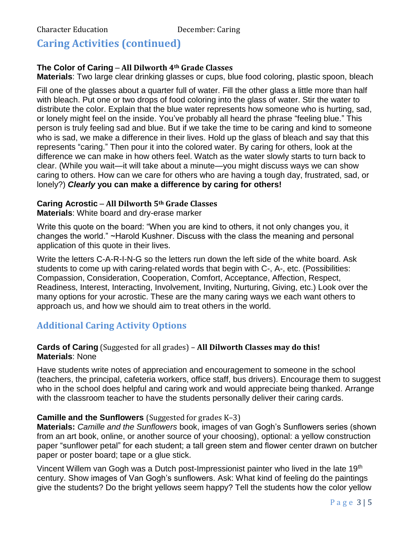# **Caring Activities (continued)**

#### **The Color of Caring** – **All Dilworth 4th Grade Classes**

**Materials**: Two large clear drinking glasses or cups, blue food coloring, plastic spoon, bleach

Fill one of the glasses about a quarter full of water. Fill the other glass a little more than half with bleach. Put one or two drops of food coloring into the glass of water. Stir the water to distribute the color. Explain that the blue water represents how someone who is hurting, sad, or lonely might feel on the inside. You've probably all heard the phrase "feeling blue." This person is truly feeling sad and blue. But if we take the time to be caring and kind to someone who is sad, we make a difference in their lives. Hold up the glass of bleach and say that this represents "caring." Then pour it into the colored water. By caring for others, look at the difference we can make in how others feel. Watch as the water slowly starts to turn back to clear. (While you wait—it will take about a minute—you might discuss ways we can show caring to others. How can we care for others who are having a tough day, frustrated, sad, or lonely?) *Clearly* **you can make a difference by caring for others!**

### **Caring Acrostic** – **All Dilworth 5th Grade Classes**

**Materials**: White board and dry-erase marker

Write this quote on the board: "When you are kind to others, it not only changes you, it changes the world." ~Harold Kushner. Discuss with the class the meaning and personal application of this quote in their lives.

Write the letters C-A-R-I-N-G so the letters run down the left side of the white board. Ask students to come up with caring-related words that begin with C-, A-, etc. (Possibilities: Compassion, Consideration, Cooperation, Comfort, Acceptance, Affection, Respect, Readiness, Interest, Interacting, Involvement, Inviting, Nurturing, Giving, etc.) Look over the many options for your acrostic. These are the many caring ways we each want others to approach us, and how we should aim to treat others in the world.

# **Additional Caring Activity Options**

#### **Cards of Caring** (Suggested for all grades) – **All Dilworth Classes may do this! Materials**: None

Have students write notes of appreciation and encouragement to someone in the school (teachers, the principal, cafeteria workers, office staff, bus drivers). Encourage them to suggest who in the school does helpful and caring work and would appreciate being thanked. Arrange with the classroom teacher to have the students personally deliver their caring cards.

#### **Camille and the Sunflowers** (Suggested for grades K–3)

**Materials:** *Camille and the Sunflowers* book, images of van Gogh's Sunflowers series (shown from an art book, online, or another source of your choosing), optional: a yellow construction paper "sunflower petal" for each student; a tall green stem and flower center drawn on butcher paper or poster board; tape or a glue stick.

Vincent Willem van Gogh was a Dutch post-Impressionist painter who lived in the late 19<sup>th</sup> century. Show images of Van Gogh's sunflowers. Ask: What kind of feeling do the paintings give the students? Do the bright yellows seem happy? Tell the students how the color yellow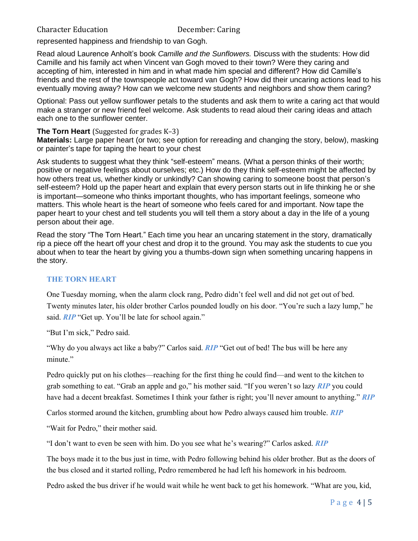#### Character Education December: Caring

represented happiness and friendship to van Gogh.

Read aloud Laurence Anholt's book *Camille and the Sunflowers.* Discuss with the students: How did Camille and his family act when Vincent van Gogh moved to their town? Were they caring and accepting of him, interested in him and in what made him special and different? How did Camille's friends and the rest of the townspeople act toward van Gogh? How did their uncaring actions lead to his eventually moving away? How can we welcome new students and neighbors and show them caring?

Optional: Pass out yellow sunflower petals to the students and ask them to write a caring act that would make a stranger or new friend feel welcome. Ask students to read aloud their caring ideas and attach each one to the sunflower center.

#### **The Torn Heart** (Suggested for grades K–3)

**Materials:** Large paper heart (or two; see option for rereading and changing the story, below), masking or painter's tape for taping the heart to your chest

Ask students to suggest what they think "self-esteem" means. (What a person thinks of their worth; positive or negative feelings about ourselves; etc.) How do they think self-esteem might be affected by how others treat us, whether kindly or unkindly? Can showing caring to someone boost that person's self-esteem? Hold up the paper heart and explain that every person starts out in life thinking he or she is important—someone who thinks important thoughts, who has important feelings, someone who matters. This whole heart is the heart of someone who feels cared for and important. Now tape the paper heart to your chest and tell students you will tell them a story about a day in the life of a young person about their age.

Read the story "The Torn Heart." Each time you hear an uncaring statement in the story, dramatically rip a piece off the heart off your chest and drop it to the ground. You may ask the students to cue you about when to tear the heart by giving you a thumbs-down sign when something uncaring happens in the story.

#### **THE TORN HEART**

One Tuesday morning, when the alarm clock rang, Pedro didn't feel well and did not get out of bed. Twenty minutes later, his older brother Carlos pounded loudly on his door. "You're such a lazy lump," he said. *RIP* "Get up. You'll be late for school again."

"But I'm sick," Pedro said.

"Why do you always act like a baby?" Carlos said. *RIP* "Get out of bed! The bus will be here any minute."

Pedro quickly put on his clothes—reaching for the first thing he could find—and went to the kitchen to grab something to eat. "Grab an apple and go," his mother said. "If you weren't so lazy *RIP* you could have had a decent breakfast. Sometimes I think your father is right; you'll never amount to anything." *RIP*

Carlos stormed around the kitchen, grumbling about how Pedro always caused him trouble. *RIP*

"Wait for Pedro," their mother said.

"I don't want to even be seen with him. Do you see what he's wearing?" Carlos asked. *RIP*

The boys made it to the bus just in time, with Pedro following behind his older brother. But as the doors of the bus closed and it started rolling, Pedro remembered he had left his homework in his bedroom.

Pedro asked the bus driver if he would wait while he went back to get his homework. "What are you, kid,